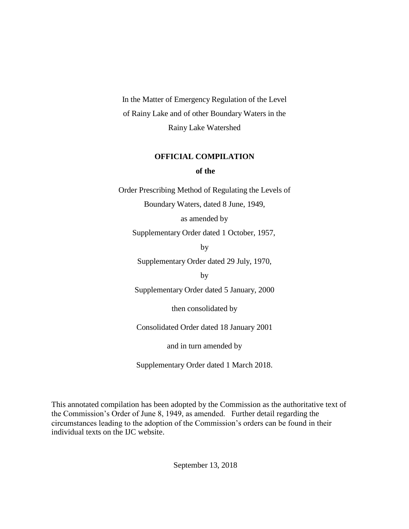In the Matter of Emergency Regulation of the Level of Rainy Lake and of other Boundary Waters in the Rainy Lake Watershed

# **OFFICIAL COMPILATION of the**

Order Prescribing Method of Regulating the Levels of Boundary Waters, dated 8 June, 1949,

as amended by

Supplementary Order dated 1 October, 1957,

by

Supplementary Order dated 29 July, 1970,

by

Supplementary Order dated 5 January, 2000

then consolidated by

Consolidated Order dated 18 January 2001

and in turn amended by

Supplementary Order dated 1 March 2018.

This annotated compilation has been adopted by the Commission as the authoritative text of the Commission's Order of June 8, 1949, as amended. Further detail regarding the circumstances leading to the adoption of the Commission's orders can be found in their individual texts on the IJC website.

September 13, 2018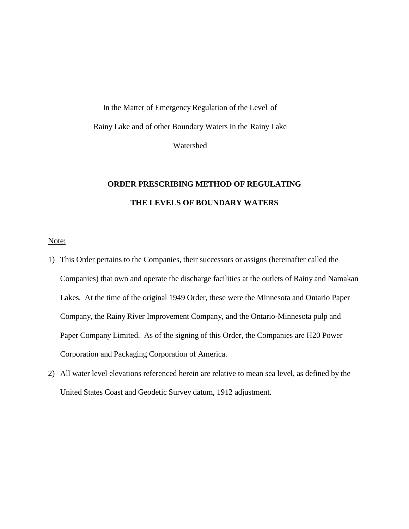In the Matter of Emergency Regulation of the Level of Rainy Lake and of other Boundary Waters in the Rainy Lake Watershed

# **ORDER PRESCRIBING METHOD OF REGULATING THE LEVELS OF BOUNDARY WATERS**

Note:

- 1) This Order pertains to the Companies, their successors or assigns (hereinafter called the Companies) that own and operate the discharge facilities at the outlets of Rainy and Namakan Lakes. At the time of the original 1949 Order, these were the Minnesota and Ontario Paper Company, the Rainy River Improvement Company, and the Ontario-Minnesota pulp and Paper Company Limited. As of the signing of this Order, the Companies are H20 Power Corporation and Packaging Corporation of America.
- 2) All water level elevations referenced herein are relative to mean sea level, as defined by the United States Coast and Geodetic Survey datum, 1912 adjustment.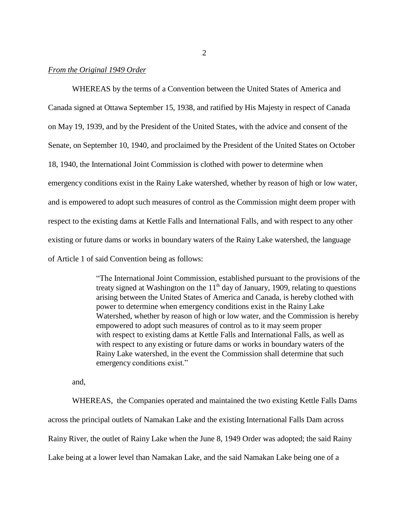## *From the Original 1949 Order*

WHEREAS by the terms of a Convention between the United States of America and Canada signed at Ottawa September 15, 1938, and ratified by His Majesty in respect of Canada on May 19, 1939, and by the President of the United States, with the advice and consent of the Senate, on September 10, 1940, and proclaimed by the President of the United States on October 18, 1940, the International Joint Commission is clothed with power to determine when emergency conditions exist in the Rainy Lake watershed, whether by reason of high or low water, and is empowered to adopt such measures of control as the Commission might deem proper with respect to the existing dams at Kettle Falls and International Falls, and with respect to any other existing or future dams or works in boundary waters of the Rainy Lake watershed, the language of Article 1 of said Convention being as follows:

> "The International Joint Commission, established pursuant to the provisions of the treaty signed at Washington on the  $11<sup>th</sup>$  day of January, 1909, relating to questions arising between the United States of America and Canada, is hereby clothed with power to determine when emergency conditions exist in the Rainy Lake Watershed, whether by reason of high or low water, and the Commission is hereby empowered to adopt such measures of control as to it may seem proper with respect to existing dams at Kettle Falls and International Falls, as well as with respect to any existing or future dams or works in boundary waters of the Rainy Lake watershed, in the event the Commission shall determine that such emergency conditions exist."

and,

WHEREAS, the Companies operated and maintained the two existing Kettle Falls Dams across the principal outlets of Namakan Lake and the existing International Falls Dam across Rainy River, the outlet of Rainy Lake when the June 8, 1949 Order was adopted; the said Rainy Lake being at a lower level than Namakan Lake, and the said Namakan Lake being one of a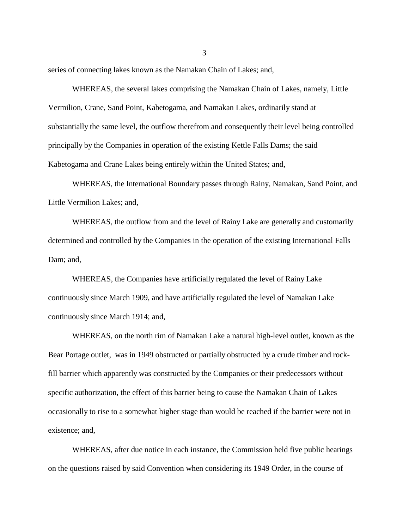series of connecting lakes known as the Namakan Chain of Lakes; and,

WHEREAS, the several lakes comprising the Namakan Chain of Lakes, namely, Little Vermilion, Crane, Sand Point, Kabetogama, and Namakan Lakes, ordinarily stand at substantially the same level, the outflow therefrom and consequently their level being controlled principally by the Companies in operation of the existing Kettle Falls Dams; the said Kabetogama and Crane Lakes being entirely within the United States; and,

WHEREAS, the International Boundary passes through Rainy, Namakan, Sand Point, and Little Vermilion Lakes; and,

WHEREAS, the outflow from and the level of Rainy Lake are generally and customarily determined and controlled by the Companies in the operation of the existing International Falls Dam; and,

WHEREAS, the Companies have artificially regulated the level of Rainy Lake continuously since March 1909, and have artificially regulated the level of Namakan Lake continuously since March 1914; and,

WHEREAS, on the north rim of Namakan Lake a natural high-level outlet, known as the Bear Portage outlet, was in 1949 obstructed or partially obstructed by a crude timber and rockfill barrier which apparently was constructed by the Companies or their predecessors without specific authorization, the effect of this barrier being to cause the Namakan Chain of Lakes occasionally to rise to a somewhat higher stage than would be reached if the barrier were not in existence; and,

WHEREAS, after due notice in each instance, the Commission held five public hearings on the questions raised by said Convention when considering its 1949 Order, in the course of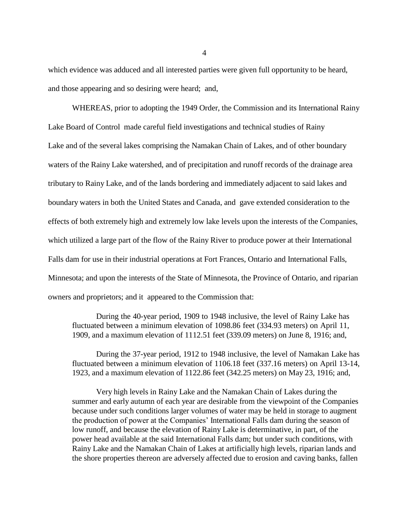which evidence was adduced and all interested parties were given full opportunity to be heard, and those appearing and so desiring were heard; and,

WHEREAS, prior to adopting the 1949 Order, the Commission and its International Rainy Lake Board of Control made careful field investigations and technical studies of Rainy Lake and of the several lakes comprising the Namakan Chain of Lakes, and of other boundary waters of the Rainy Lake watershed, and of precipitation and runoff records of the drainage area tributary to Rainy Lake, and of the lands bordering and immediately adjacent to said lakes and boundary waters in both the United States and Canada, and gave extended consideration to the effects of both extremely high and extremely low lake levels upon the interests of the Companies, which utilized a large part of the flow of the Rainy River to produce power at their International Falls dam for use in their industrial operations at Fort Frances, Ontario and International Falls, Minnesota; and upon the interests of the State of Minnesota, the Province of Ontario, and riparian owners and proprietors; and it appeared to the Commission that:

During the 40-year period, 1909 to 1948 inclusive, the level of Rainy Lake has fluctuated between a minimum elevation of 1098.86 feet (334.93 meters) on April 11, 1909, and a maximum elevation of 1112.51 feet (339.09 meters) on June 8, 1916; and,

During the 37-year period, 1912 to 1948 inclusive, the level of Namakan Lake has fluctuated between a minimum elevation of 1106.18 feet (337.16 meters) on April 13-14, 1923, and a maximum elevation of 1122.86 feet (342.25 meters) on May 23, 1916; and,

Very high levels in Rainy Lake and the Namakan Chain of Lakes during the summer and early autumn of each year are desirable from the viewpoint of the Companies because under such conditions larger volumes of water may be held in storage to augment the production of power at the Companies' International Falls dam during the season of low runoff, and because the elevation of Rainy Lake is determinative, in part, of the power head available at the said International Falls dam; but under such conditions, with Rainy Lake and the Namakan Chain of Lakes at artificially high levels, riparian lands and the shore properties thereon are adversely affected due to erosion and caving banks, fallen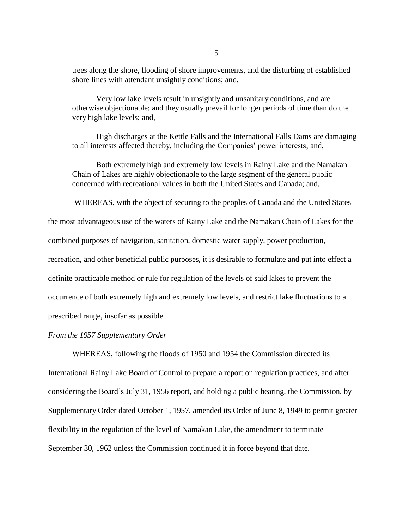trees along the shore, flooding of shore improvements, and the disturbing of established shore lines with attendant unsightly conditions; and,

Very low lake levels result in unsightly and unsanitary conditions, and are otherwise objectionable; and they usually prevail for longer periods of time than do the very high lake levels; and,

High discharges at the Kettle Falls and the International Falls Dams are damaging to all interests affected thereby, including the Companies' power interests; and,

Both extremely high and extremely low levels in Rainy Lake and the Namakan Chain of Lakes are highly objectionable to the large segment of the general public concerned with recreational values in both the United States and Canada; and,

WHEREAS, with the object of securing to the peoples of Canada and the United States

the most advantageous use of the waters of Rainy Lake and the Namakan Chain of Lakes for the

combined purposes of navigation, sanitation, domestic water supply, power production,

recreation, and other beneficial public purposes, it is desirable to formulate and put into effect a

definite practicable method or rule for regulation of the levels of said lakes to prevent the

occurrence of both extremely high and extremely low levels, and restrict lake fluctuations to a

prescribed range, insofar as possible.

## *From the 1957 Supplementary Order*

WHEREAS, following the floods of 1950 and 1954 the Commission directed its International Rainy Lake Board of Control to prepare a report on regulation practices, and after considering the Board's July 31, 1956 report, and holding a public hearing, the Commission, by Supplementary Order dated October 1, 1957, amended its Order of June 8, 1949 to permit greater flexibility in the regulation of the level of Namakan Lake, the amendment to terminate September 30, 1962 unless the Commission continued it in force beyond that date.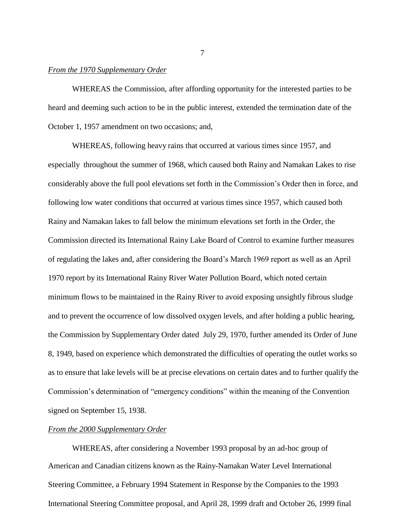#### *From the 1970 Supplementary Order*

WHEREAS the Commission, after affording opportunity for the interested parties to be heard and deeming such action to be in the public interest, extended the termination date of the October 1, 1957 amendment on two occasions; and,

WHEREAS, following heavy rains that occurred at various times since 1957, and especially throughout the summer of 1968, which caused both Rainy and Namakan Lakes to rise considerably above the full pool elevations set forth in the Commission's Order then in force, and following low water conditions that occurred at various times since 1957, which caused both Rainy and Namakan lakes to fall below the minimum elevations set forth in the Order, the Commission directed its International Rainy Lake Board of Control to examine further measures of regulating the lakes and, after considering the Board's March 1969 report as well as an April 1970 report by its International Rainy River Water Pollution Board, which noted certain minimum flows to be maintained in the Rainy River to avoid exposing unsightly fibrous sludge and to prevent the occurrence of low dissolved oxygen levels, and after holding a public hearing, the Commission by Supplementary Order dated July 29, 1970, further amended its Order of June 8, 1949, based on experience which demonstrated the difficulties of operating the outlet works so as to ensure that lake levels will be at precise elevations on certain dates and to further qualify the Commission's determination of "emergency conditions" within the meaning of the Convention signed on September 15, 1938.

## *From the 2000 Supplementary Order*

WHEREAS, after considering a November 1993 proposal by an ad-hoc group of American and Canadian citizens known as the Rainy-Namakan Water Level International Steering Committee, a February 1994 Statement in Response by the Companies to the 1993 International Steering Committee proposal, and April 28, 1999 draft and October 26, 1999 final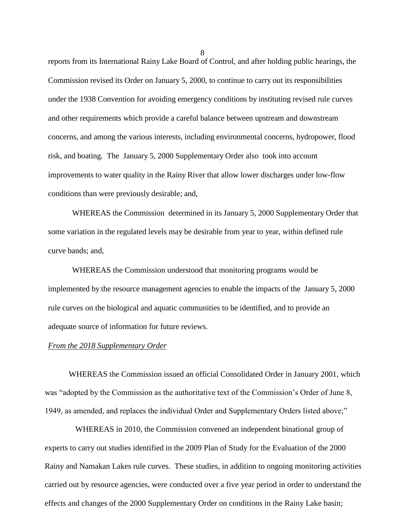reports from its International Rainy Lake Board of Control, and after holding public hearings, the Commission revised its Order on January 5, 2000, to continue to carry out its responsibilities under the 1938 Convention for avoiding emergency conditions by instituting revised rule curves and other requirements which provide a careful balance between upstream and downstream concerns, and among the various interests, including environmental concerns, hydropower, flood risk, and boating. The January 5, 2000 Supplementary Order also took into account improvements to water quality in the Rainy River that allow lower discharges under low-flow conditions than were previously desirable; and,

WHEREAS the Commission determined in its January 5, 2000 Supplementary Order that some variation in the regulated levels may be desirable from year to year, within defined rule curve bands; and,

WHEREAS the Commission understood that monitoring programs would be implemented by the resource management agencies to enable the impacts of the January 5, 2000 rule curves on the biological and aquatic communities to be identified, and to provide an adequate source of information for future reviews.

#### *From the 2018 Supplementary Order*

WHEREAS the Commission issued an official Consolidated Order in January 2001, which was "adopted by the Commission as the authoritative text of the Commission's Order of June 8, 1949, as amended, and replaces the individual Order and Supplementary Orders listed above;"

WHEREAS in 2010, the Commission convened an independent binational group of experts to carry out studies identified in the 2009 Plan of Study for the Evaluation of the 2000 Rainy and Namakan Lakes rule curves. These studies, in addition to ongoing monitoring activities carried out by resource agencies, were conducted over a five year period in order to understand the effects and changes of the 2000 Supplementary Order on conditions in the Rainy Lake basin;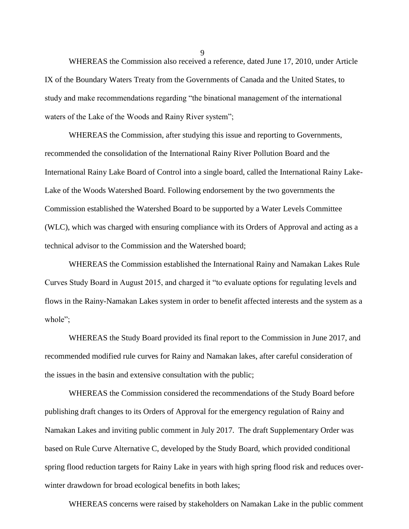WHEREAS the Commission also received a reference, dated June 17, 2010, under Article IX of the Boundary Waters Treaty from the Governments of Canada and the United States, to study and make recommendations regarding "the binational management of the international waters of the Lake of the Woods and Rainy River system";

WHEREAS the Commission, after studying this issue and reporting to Governments, recommended the consolidation of the International Rainy River Pollution Board and the International Rainy Lake Board of Control into a single board, called the International Rainy Lake-Lake of the Woods Watershed Board. Following endorsement by the two governments the Commission established the Watershed Board to be supported by a Water Levels Committee (WLC), which was charged with ensuring compliance with its Orders of Approval and acting as a technical advisor to the Commission and the Watershed board;

WHEREAS the Commission established the International Rainy and Namakan Lakes Rule Curves Study Board in August 2015, and charged it "to evaluate options for regulating levels and flows in the Rainy-Namakan Lakes system in order to benefit affected interests and the system as a whole";

WHEREAS the Study Board provided its final report to the Commission in June 2017, and recommended modified rule curves for Rainy and Namakan lakes, after careful consideration of the issues in the basin and extensive consultation with the public;

WHEREAS the Commission considered the recommendations of the Study Board before publishing draft changes to its Orders of Approval for the emergency regulation of Rainy and Namakan Lakes and inviting public comment in July 2017. The draft Supplementary Order was based on Rule Curve Alternative C, developed by the Study Board, which provided conditional spring flood reduction targets for Rainy Lake in years with high spring flood risk and reduces overwinter drawdown for broad ecological benefits in both lakes;

WHEREAS concerns were raised by stakeholders on Namakan Lake in the public comment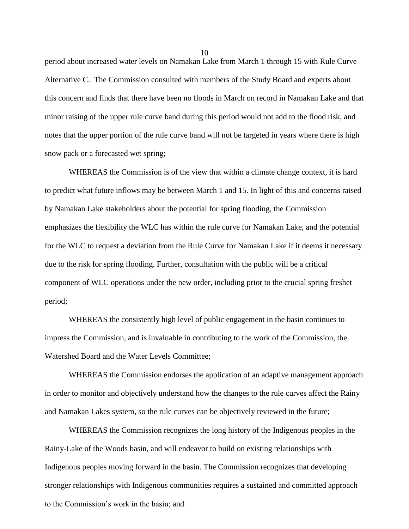period about increased water levels on Namakan Lake from March 1 through 15 with Rule Curve Alternative C. The Commission consulted with members of the Study Board and experts about this concern and finds that there have been no floods in March on record in Namakan Lake and that minor raising of the upper rule curve band during this period would not add to the flood risk, and notes that the upper portion of the rule curve band will not be targeted in years where there is high snow pack or a forecasted wet spring;

WHEREAS the Commission is of the view that within a climate change context, it is hard to predict what future inflows may be between March 1 and 15. In light of this and concerns raised by Namakan Lake stakeholders about the potential for spring flooding, the Commission emphasizes the flexibility the WLC has within the rule curve for Namakan Lake, and the potential for the WLC to request a deviation from the Rule Curve for Namakan Lake if it deems it necessary due to the risk for spring flooding. Further, consultation with the public will be a critical component of WLC operations under the new order, including prior to the crucial spring freshet period;

WHEREAS the consistently high level of public engagement in the basin continues to impress the Commission, and is invaluable in contributing to the work of the Commission, the Watershed Board and the Water Levels Committee;

WHEREAS the Commission endorses the application of an adaptive management approach in order to monitor and objectively understand how the changes to the rule curves affect the Rainy and Namakan Lakes system, so the rule curves can be objectively reviewed in the future;

WHEREAS the Commission recognizes the long history of the Indigenous peoples in the Rainy-Lake of the Woods basin, and will endeavor to build on existing relationships with Indigenous peoples moving forward in the basin. The Commission recognizes that developing stronger relationships with Indigenous communities requires a sustained and committed approach to the Commission's work in the basin; and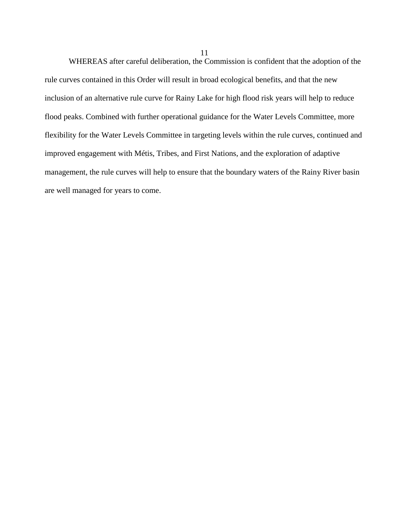WHEREAS after careful deliberation, the Commission is confident that the adoption of the rule curves contained in this Order will result in broad ecological benefits, and that the new inclusion of an alternative rule curve for Rainy Lake for high flood risk years will help to reduce flood peaks. Combined with further operational guidance for the Water Levels Committee, more flexibility for the Water Levels Committee in targeting levels within the rule curves, continued and improved engagement with Métis, Tribes, and First Nations, and the exploration of adaptive management, the rule curves will help to ensure that the boundary waters of the Rainy River basin are well managed for years to come.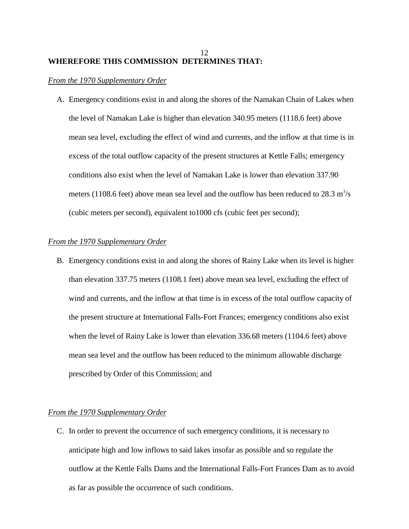## 12 **WHEREFORE THIS COMMISSION DETERMINES THAT:**

## *From the 1970 Supplementary Order*

A. Emergency conditions exist in and along the shores of the Namakan Chain of Lakes when the level of Namakan Lake is higher than elevation 340.95 meters (1118.6 feet) above mean sea level, excluding the effect of wind and currents, and the inflow at that time is in excess of the total outflow capacity of the present structures at Kettle Falls; emergency conditions also exist when the level of Namakan Lake is lower than elevation 337.90 meters (1108.6 feet) above mean sea level and the outflow has been reduced to  $28.3 \text{ m}^3/\text{s}$ (cubic meters per second), equivalent to1000 cfs (cubic feet per second);

## *From the 1970 Supplementary Order*

B. Emergency conditions exist in and along the shores of Rainy Lake when its level is higher than elevation 337.75 meters (1108.1 feet) above mean sea level, excluding the effect of wind and currents, and the inflow at that time is in excess of the total outflow capacity of the present structure at International Falls-Fort Frances; emergency conditions also exist when the level of Rainy Lake is lower than elevation 336.68 meters (1104.6 feet) above mean sea level and the outflow has been reduced to the minimum allowable discharge prescribed by Order of this Commission; and

## *From the 1970 Supplementary Order*

C. In order to prevent the occurrence of such emergency conditions, it is necessary to anticipate high and low inflows to said lakes insofar as possible and so regulate the outflow at the Kettle Falls Dams and the International Falls-Fort Frances Dam as to avoid as far as possible the occurrence of such conditions.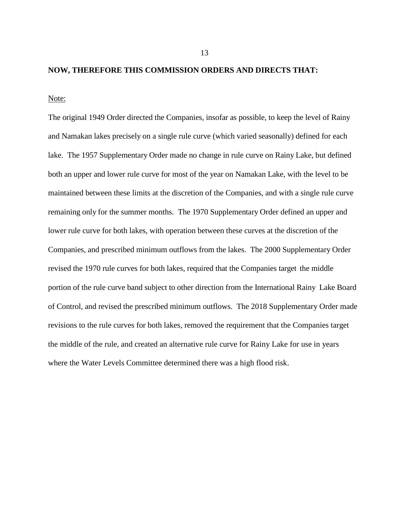#### **NOW, THEREFORE THIS COMMISSION ORDERS AND DIRECTS THAT:**

Note:

The original 1949 Order directed the Companies, insofar as possible, to keep the level of Rainy and Namakan lakes precisely on a single rule curve (which varied seasonally) defined for each lake. The 1957 Supplementary Order made no change in rule curve on Rainy Lake, but defined both an upper and lower rule curve for most of the year on Namakan Lake, with the level to be maintained between these limits at the discretion of the Companies, and with a single rule curve remaining only for the summer months. The 1970 Supplementary Order defined an upper and lower rule curve for both lakes, with operation between these curves at the discretion of the Companies, and prescribed minimum outflows from the lakes. The 2000 Supplementary Order revised the 1970 rule curves for both lakes, required that the Companies target the middle portion of the rule curve band subject to other direction from the International Rainy Lake Board of Control, and revised the prescribed minimum outflows. The 2018 Supplementary Order made revisions to the rule curves for both lakes, removed the requirement that the Companies target the middle of the rule, and created an alternative rule curve for Rainy Lake for use in years where the Water Levels Committee determined there was a high flood risk.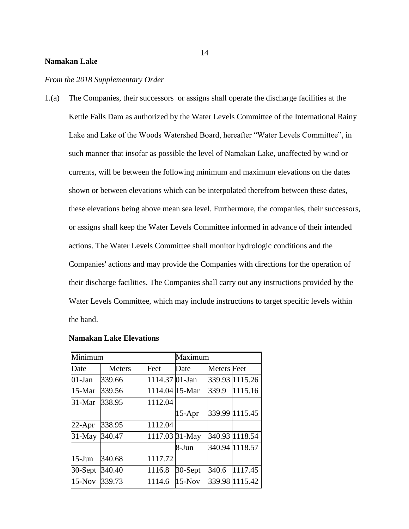#### **Namakan Lake**

#### *From the 2018 Supplementary Order*

1.(a) The Companies, their successors or assigns shall operate the discharge facilities at the Kettle Falls Dam as authorized by the Water Levels Committee of the International Rainy Lake and Lake of the Woods Watershed Board, hereafter "Water Levels Committee", in such manner that insofar as possible the level of Namakan Lake, unaffected by wind or currents, will be between the following minimum and maximum elevations on the dates shown or between elevations which can be interpolated therefrom between these dates, these elevations being above mean sea level. Furthermore, the companies, their successors, or assigns shall keep the Water Levels Committee informed in advance of their intended actions. The Water Levels Committee shall monitor hydrologic conditions and the Companies' actions and may provide the Companies with directions for the operation of their discharge facilities. The Companies shall carry out any instructions provided by the Water Levels Committee, which may include instructions to target specific levels within the band.

| Minimum   |               |                | Maximum  |                    |                |
|-----------|---------------|----------------|----------|--------------------|----------------|
| Date      | <b>Meters</b> | Feet           | Date     | <b>Meters</b> Feet |                |
| $01$ -Jan | 339.66        | 1114.37 01-Jan |          |                    | 339.93 1115.26 |
| $15-Mar$  | 339.56        | 1114.04 15-Mar |          | 339.9              | 1115.16        |
| $31-Mar$  | 338.95        | 1112.04        |          |                    |                |
|           |               |                | $15-Apr$ |                    | 339.99 1115.45 |
| $22$ -Apr | 338.95        | 1112.04        |          |                    |                |
| $31$ -May | 340.47        | 1117.03 31-May |          |                    | 340.93 1118.54 |
|           |               |                | 8-Jun    |                    | 340.94 1118.57 |
| $15$ -Jun | 340.68        | 1117.72        |          |                    |                |
| 30-Sept   | 340.40        | 1116.8         | 30-Sept  | 340.6              | 1117.45        |
| $15-Nov$  | 339.73        | 1114.6         | $15-Nov$ |                    | 339.98 1115.42 |

## **Namakan Lake Elevations**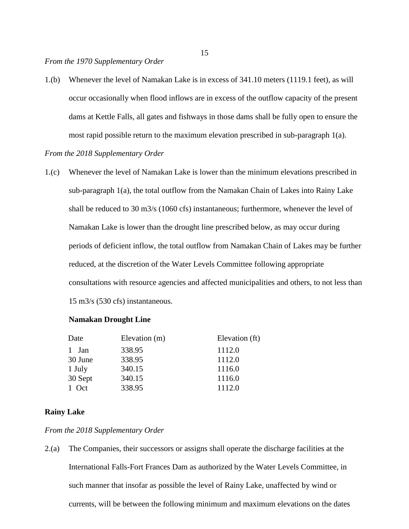1.(b) Whenever the level of Namakan Lake is in excess of 341.10 meters (1119.1 feet), as will occur occasionally when flood inflows are in excess of the outflow capacity of the present dams at Kettle Falls, all gates and fishways in those dams shall be fully open to ensure the most rapid possible return to the maximum elevation prescribed in sub-paragraph 1(a).

## *From the 2018 Supplementary Order*

1.(c) Whenever the level of Namakan Lake is lower than the minimum elevations prescribed in sub-paragraph 1(a), the total outflow from the Namakan Chain of Lakes into Rainy Lake shall be reduced to 30 m3/s (1060 cfs) instantaneous; furthermore, whenever the level of Namakan Lake is lower than the drought line prescribed below, as may occur during periods of deficient inflow, the total outflow from Namakan Chain of Lakes may be further reduced, at the discretion of the Water Levels Committee following appropriate consultations with resource agencies and affected municipalities and others, to not less than 15 m3/s (530 cfs) instantaneous.

## **Namakan Drought Line**

| Date    | Elevation (m) | Elevation (ft) |
|---------|---------------|----------------|
| 1 Jan   | 338.95        | 1112.0         |
| 30 June | 338.95        | 1112.0         |
| 1 July  | 340.15        | 1116.0         |
| 30 Sept | 340.15        | 1116.0         |
| 1 Oct   | 338.95        | 1112.0         |

## **Rainy Lake**

## *From the 2018 Supplementary Order*

2.(a) The Companies, their successors or assigns shall operate the discharge facilities at the International Falls-Fort Frances Dam as authorized by the Water Levels Committee, in such manner that insofar as possible the level of Rainy Lake, unaffected by wind or currents, will be between the following minimum and maximum elevations on the dates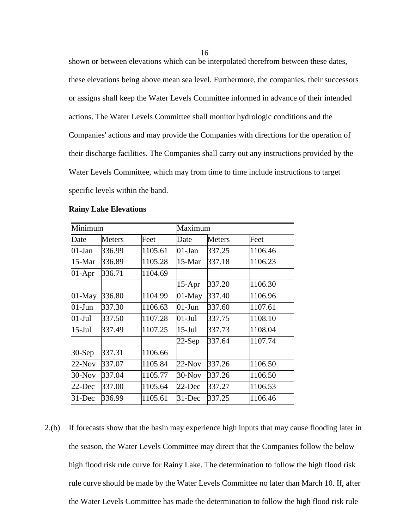shown or between elevations which can be interpolated therefrom between these dates, these elevations being above mean sea level. Furthermore, the companies, their successors or assigns shall keep the Water Levels Committee informed in advance of their intended actions. The Water Levels Committee shall monitor hydrologic conditions and the Companies' actions and may provide the Companies with directions for the operation of their discharge facilities. The Companies shall carry out any instructions provided by the Water Levels Committee, which may from time to time include instructions to target specific levels within the band.

| Minimum   |               |         | Maximum   |               |         |
|-----------|---------------|---------|-----------|---------------|---------|
| Date      | <b>Meters</b> | Feet    | Date      | <b>Meters</b> | Feet    |
| $01-Jan$  | 336.99        | 1105.61 | $01-Jan$  | 337.25        | 1106.46 |
| $15-Mar$  | 336.89        | 1105.28 | $15-Mar$  | 337.18        | 1106.23 |
| $01-Apr$  | 336.71        | 1104.69 |           |               |         |
|           |               |         | $15-Apr$  | 337.20        | 1106.30 |
| $01$ -May | 336.80        | 1104.99 | $01$ -May | 337.40        | 1106.96 |
| $01-J$ un | 337.30        | 1106.63 | $01-J$ un | 337.60        | 1107.61 |
| $01-Jul$  | 337.50        | 1107.28 | $01-Jul$  | 337.75        | 1108.10 |
| $15$ -Jul | 337.49        | 1107.25 | $15$ -Jul | 337.73        | 1108.04 |
|           |               |         | $22-Sep$  | 337.64        | 1107.74 |
| $30-Sep$  | 337.31        | 1106.66 |           |               |         |
| $22-Nov$  | 337.07        | 1105.84 | $22-Nov$  | 337.26        | 1106.50 |
| $30-Nov$  | 337.04        | 1105.77 | $30-Nov$  | 337.26        | 1106.50 |
| 22-Dec    | 337.00        | 1105.64 | $22$ -Dec | 337.27        | 1106.53 |
| $31$ -Dec | 336.99        | 1105.61 | $31$ -Dec | 337.25        | 1106.46 |

#### **Rainy Lake Elevations**

2.(b) If forecasts show that the basin may experience high inputs that may cause flooding later in the season, the Water Levels Committee may direct that the Companies follow the below high flood risk rule curve for Rainy Lake. The determination to follow the high flood risk rule curve should be made by the Water Levels Committee no later than March 10. If, after the Water Levels Committee has made the determination to follow the high flood risk rule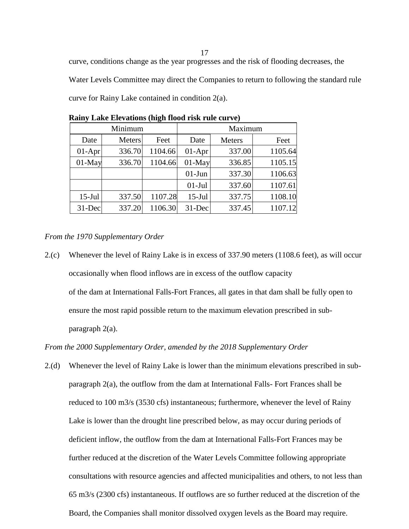curve, conditions change as the year progresses and the risk of flooding decreases, the Water Levels Committee may direct the Companies to return to following the standard rule curve for Rainy Lake contained in condition 2(a).

| Minimum   |        |         | Maximum   |               |         |  |
|-----------|--------|---------|-----------|---------------|---------|--|
| Date      | Meters | Feet    | Date      | <b>Meters</b> | Feet    |  |
| $01-Apr$  | 336.70 | 1104.66 | $01-Apr$  | 337.00        | 1105.64 |  |
| $01$ -May | 336.70 | 1104.66 | $01$ -May | 336.85        | 1105.15 |  |
|           |        |         | $01-J$ un | 337.30        | 1106.63 |  |
|           |        |         | $01-Jul$  | 337.60        | 1107.61 |  |
| $15$ -Jul | 337.50 | 1107.28 | $15$ -Jul | 337.75        | 1108.10 |  |
| $31$ -Dec | 337.20 | 1106.30 | 31-Dec    | 337.45        | 1107.12 |  |

**Rainy Lake Elevations (high flood risk rule curve)**

*From the 1970 Supplementary Order*

2.(c) Whenever the level of Rainy Lake is in excess of 337.90 meters (1108.6 feet), as will occur occasionally when flood inflows are in excess of the outflow capacity of the dam at International Falls-Fort Frances, all gates in that dam shall be fully open to ensure the most rapid possible return to the maximum elevation prescribed in subparagraph 2(a).

*From the 2000 Supplementary Order, amended by the 2018 Supplementary Order*

2.(d) Whenever the level of Rainy Lake is lower than the minimum elevations prescribed in subparagraph 2(a), the outflow from the dam at International Falls- Fort Frances shall be reduced to 100 m3/s (3530 cfs) instantaneous; furthermore, whenever the level of Rainy Lake is lower than the drought line prescribed below, as may occur during periods of deficient inflow, the outflow from the dam at International Falls-Fort Frances may be further reduced at the discretion of the Water Levels Committee following appropriate consultations with resource agencies and affected municipalities and others, to not less than 65 m3/s (2300 cfs) instantaneous. If outflows are so further reduced at the discretion of the Board, the Companies shall monitor dissolved oxygen levels as the Board may require.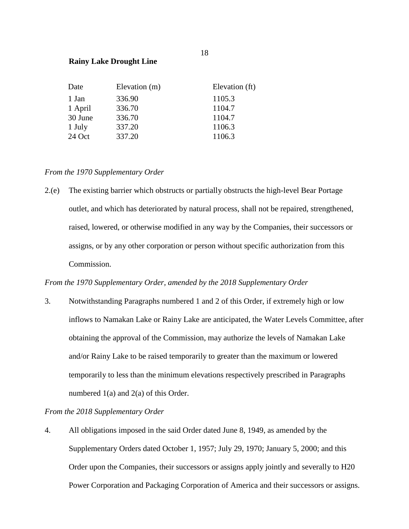## **Rainy Lake Drought Line**

| Date    | Elevation (m) | Elevation (ft) |
|---------|---------------|----------------|
| 1 Jan   | 336.90        | 1105.3         |
| 1 April | 336.70        | 1104.7         |
| 30 June | 336.70        | 1104.7         |
| 1 July  | 337.20        | 1106.3         |
| 24 Oct  | 337.20        | 1106.3         |

## *From the 1970 Supplementary Order*

2.(e) The existing barrier which obstructs or partially obstructs the high-level Bear Portage outlet, and which has deteriorated by natural process, shall not be repaired, strengthened, raised, lowered, or otherwise modified in any way by the Companies, their successors or assigns, or by any other corporation or person without specific authorization from this Commission.

## *From the 1970 Supplementary Order, amended by the 2018 Supplementary Order*

3. Notwithstanding Paragraphs numbered 1 and 2 of this Order, if extremely high or low inflows to Namakan Lake or Rainy Lake are anticipated, the Water Levels Committee, after obtaining the approval of the Commission, may authorize the levels of Namakan Lake and/or Rainy Lake to be raised temporarily to greater than the maximum or lowered temporarily to less than the minimum elevations respectively prescribed in Paragraphs numbered  $1(a)$  and  $2(a)$  of this Order.

## *From the 2018 Supplementary Order*

4. All obligations imposed in the said Order dated June 8, 1949, as amended by the Supplementary Orders dated October 1, 1957; July 29, 1970; January 5, 2000; and this Order upon the Companies, their successors or assigns apply jointly and severally to H20 Power Corporation and Packaging Corporation of America and their successors or assigns.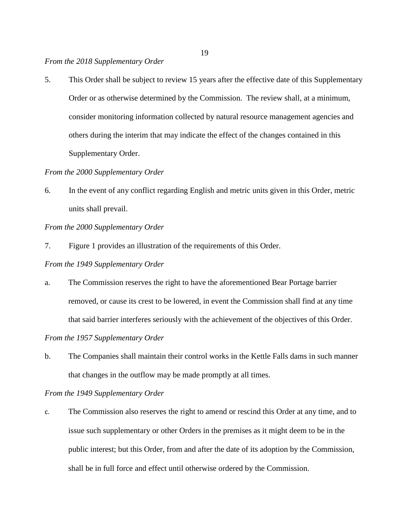### *From the 2018 Supplementary Order*

5. This Order shall be subject to review 15 years after the effective date of this Supplementary Order or as otherwise determined by the Commission. The review shall, at a minimum, consider monitoring information collected by natural resource management agencies and others during the interim that may indicate the effect of the changes contained in this Supplementary Order.

## *From the 2000 Supplementary Order*

6. In the event of any conflict regarding English and metric units given in this Order, metric units shall prevail.

## *From the 2000 Supplementary Order*

7. Figure 1 provides an illustration of the requirements of this Order.

## *From the 1949 Supplementary Order*

a. The Commission reserves the right to have the aforementioned Bear Portage barrier removed, or cause its crest to be lowered, in event the Commission shall find at any time that said barrier interferes seriously with the achievement of the objectives of this Order.

## *From the 1957 Supplementary Order*

b. The Companies shall maintain their control works in the Kettle Falls dams in such manner that changes in the outflow may be made promptly at all times.

## *From the 1949 Supplementary Order*

c. The Commission also reserves the right to amend or rescind this Order at any time, and to issue such supplementary or other Orders in the premises as it might deem to be in the public interest; but this Order, from and after the date of its adoption by the Commission, shall be in full force and effect until otherwise ordered by the Commission.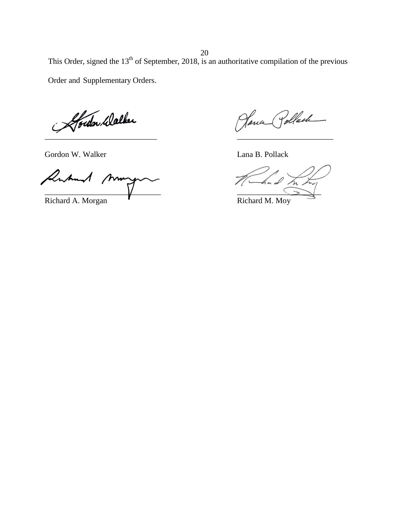This Order, signed the  $13<sup>th</sup>$  of September, 2018, is an authoritative compilation of the previous Order and Supplementary Orders.

Aberlan Walker

Gordon W. Walker Lana B. Pollack

Antund mm  $\sqrt{2\pi}$ 

Richard A. Morgan **Richard M. Moy** 

Jana Pollach \_\_\_\_\_\_\_\_\_\_\_\_\_\_\_\_\_\_\_\_\_\_\_\_\_\_\_\_ \_\_\_\_\_\_\_\_\_\_\_\_\_\_\_\_\_\_\_\_\_\_\_\_

ź.